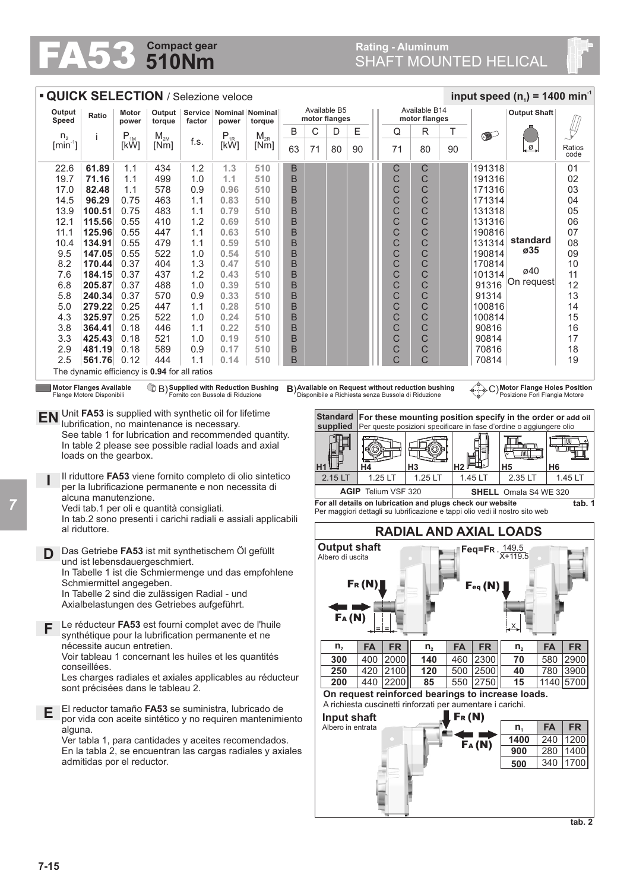## **510Nm Compact gear FA53** S10Nm<br>SHAFT MOUNTED HELICAL

| <b>QUICK SELECTION / Selezione veloce</b><br>input speed ( $n_1$ ) = 1400 min <sup>-1</sup>                                                                                                                                                                                                                                                                                               |                                                                                                                                                                                          |                |                  |            |                                                 |                                      |        |                           |                               |                   |                                             |                               |                   |           |                     |                                                             |                |  |  |  |
|-------------------------------------------------------------------------------------------------------------------------------------------------------------------------------------------------------------------------------------------------------------------------------------------------------------------------------------------------------------------------------------------|------------------------------------------------------------------------------------------------------------------------------------------------------------------------------------------|----------------|------------------|------------|-------------------------------------------------|--------------------------------------|--------|---------------------------|-------------------------------|-------------------|---------------------------------------------|-------------------------------|-------------------|-----------|---------------------|-------------------------------------------------------------|----------------|--|--|--|
| Output<br>Speed                                                                                                                                                                                                                                                                                                                                                                           | Ratio                                                                                                                                                                                    | Motor<br>power | torque<br>factor |            | Output   Service   Nominal   Nominal  <br>power |                                      |        |                           | Available B5<br>motor flanges |                   | Available B14<br>motor flanges              |                               |                   |           | <b>Output Shaft</b> |                                                             |                |  |  |  |
| n <sub>2</sub>                                                                                                                                                                                                                                                                                                                                                                            | i                                                                                                                                                                                        | $P_{1M}$       | $M_{2M}$         |            | $P_{1R}$                                        | torque<br>$\mathsf{M}_{\mathsf{2R}}$ | B      | С                         | D                             | Ε                 |                                             | Q                             | R                 | Т         | o.                  |                                                             |                |  |  |  |
| $[min^{-1}]$                                                                                                                                                                                                                                                                                                                                                                              |                                                                                                                                                                                          | [kW]           | [Nm]             | f.s.       | [kW]                                            | [Nm]                                 | 63     | 71                        | 80                            | 90                |                                             | 71                            | 80                | 90        |                     | Ø.                                                          | Ratios<br>code |  |  |  |
| 22.6<br>19.7                                                                                                                                                                                                                                                                                                                                                                              | 61.89<br>71.16                                                                                                                                                                           | 1.1<br>1.1     | 434<br>499       | 1.2<br>1.0 | 1.3<br>1.1                                      | 510<br>510                           | B<br>B |                           |                               |                   |                                             | С<br>C                        | С<br>C            |           | 191318<br>191316    |                                                             | 01<br>02       |  |  |  |
| 17.0                                                                                                                                                                                                                                                                                                                                                                                      | 82.48                                                                                                                                                                                    | 1.1            | 578              | 0.9        | 0.96                                            | 510                                  | B      |                           |                               |                   |                                             | C                             | С                 |           | 171316              |                                                             | 03             |  |  |  |
| 14.5                                                                                                                                                                                                                                                                                                                                                                                      | 96.29                                                                                                                                                                                    | 0.75           | 463              | 1.1        | 0.83                                            | 510                                  | B      |                           |                               |                   |                                             | C                             | C                 |           | 171314              |                                                             | 04             |  |  |  |
| 13.9                                                                                                                                                                                                                                                                                                                                                                                      | 100.51                                                                                                                                                                                   | 0.75           | 483              | 1.1        | 0.79                                            | 510                                  | B      |                           |                               |                   |                                             | $\mathsf{C}$                  | C                 |           | 131318              |                                                             | 05             |  |  |  |
| 12.1<br>11.1                                                                                                                                                                                                                                                                                                                                                                              | 115.56<br>125.96                                                                                                                                                                         | 0.55<br>0.55   | 410<br>447       | 1.2<br>1.1 | 0.69<br>0.63                                    | 510<br>510                           | B<br>B |                           |                               |                   |                                             | C<br>C                        | C<br>C            |           | 131316<br>190816    |                                                             | 06<br>07       |  |  |  |
| 10.4                                                                                                                                                                                                                                                                                                                                                                                      | 134.91                                                                                                                                                                                   | 0.55           | 479              | 1.1        | 0.59                                            | 510                                  | B      |                           |                               |                   |                                             | C                             | C                 |           | 131314              | standard                                                    | 08             |  |  |  |
| 9.5                                                                                                                                                                                                                                                                                                                                                                                       | 147.05                                                                                                                                                                                   | 0.55           | 522              | 1.0        | 0.54                                            | 510                                  | B      |                           |                               |                   |                                             | C                             | C                 |           | 190814              | ø35                                                         | 09             |  |  |  |
| 8.2                                                                                                                                                                                                                                                                                                                                                                                       | 170.44                                                                                                                                                                                   | 0.37           | 404              | 1.3        | 0.47                                            | 510                                  | B      |                           |                               |                   |                                             | C                             | C                 |           | 170814              | ø40                                                         | 10             |  |  |  |
| 7.6<br>6.8                                                                                                                                                                                                                                                                                                                                                                                | 184.15<br>205.87                                                                                                                                                                         | 0.37<br>0.37   | 437<br>488       | 1.2<br>1.0 | 0.43<br>0.39                                    | 510<br>510                           | B<br>B |                           |                               |                   |                                             | C<br>C                        | C<br>C            |           | 101314<br>91316     | On request                                                  | 11<br>12       |  |  |  |
| 5.8                                                                                                                                                                                                                                                                                                                                                                                       | 240.34                                                                                                                                                                                   | 0.37           | 570              | 0.9        | 0.33                                            | 510                                  | B      |                           |                               |                   |                                             | C                             | C                 |           | 91314               |                                                             | 13             |  |  |  |
| 5.0                                                                                                                                                                                                                                                                                                                                                                                       | 279.22                                                                                                                                                                                   | 0.25           | 447              | 1.1        | 0.28                                            | 510                                  | B      |                           |                               |                   |                                             | C                             | C                 |           | 100816              |                                                             | 14             |  |  |  |
| 4.3                                                                                                                                                                                                                                                                                                                                                                                       | 325.97                                                                                                                                                                                   | 0.25           | 522              | 1.0        | 0.24                                            | 510                                  | B      |                           |                               |                   |                                             | C                             | C                 |           | 100814              |                                                             | 15             |  |  |  |
| 3.8                                                                                                                                                                                                                                                                                                                                                                                       | 364.41                                                                                                                                                                                   | 0.18           | 446              | 1.1        | 0.22                                            | 510                                  | B      |                           |                               |                   |                                             | C                             | C                 |           | 90816               |                                                             | 16             |  |  |  |
| 3.3                                                                                                                                                                                                                                                                                                                                                                                       | 425.43                                                                                                                                                                                   | 0.18           | 521              | 1.0        | 0.19                                            | 510                                  | B      |                           |                               |                   |                                             | С                             | С                 |           | 90814               |                                                             | 17             |  |  |  |
| 2.9<br>2.5                                                                                                                                                                                                                                                                                                                                                                                | 481.19<br>561.76                                                                                                                                                                         | 0.18<br>0.12   | 589<br>444       | 0.9<br>1.1 | 0.17<br>0.14                                    | 510<br>510                           | B<br>B |                           |                               |                   |                                             | C<br>C                        | $\mathsf{C}$<br>C |           | 70816<br>70814      |                                                             | 18<br>19       |  |  |  |
|                                                                                                                                                                                                                                                                                                                                                                                           |                                                                                                                                                                                          |                |                  |            |                                                 |                                      |        |                           |                               |                   |                                             |                               |                   |           |                     |                                                             |                |  |  |  |
| The dynamic efficiency is 0.94 for all ratios<br><b>Motor Flanges Available</b><br>B) Available on Request without reduction bushing<br>C) Motor Flange Holes Position<br>$\mathbb{Q} \mathsf{B}$ Supplied with Reduction Bushing<br>Flange Motore Disponibili<br>Fornito con Bussola di Riduzione<br>Disponibile a Richiesta senza Bussola di Riduzione<br>Posizione Fori Flangia Motore |                                                                                                                                                                                          |                |                  |            |                                                 |                                      |        |                           |                               |                   |                                             |                               |                   |           |                     |                                                             |                |  |  |  |
| <b>EN</b>                                                                                                                                                                                                                                                                                                                                                                                 | Unit FA53 is supplied with synthetic oil for lifetime                                                                                                                                    |                |                  |            |                                                 |                                      |        |                           | <b>Standard</b>               |                   |                                             |                               |                   |           |                     | For these mounting position specify in the order or add oil |                |  |  |  |
| lubrification, no maintenance is necessary.<br>supplied<br>Per queste posizioni specificare in fase d'ordine o aggiungere olio<br>See table 1 for lubrication and recommended quantity.                                                                                                                                                                                                   |                                                                                                                                                                                          |                |                  |            |                                                 |                                      |        |                           |                               |                   |                                             |                               |                   |           |                     |                                                             |                |  |  |  |
| In table 2 please see possible radial loads and axial                                                                                                                                                                                                                                                                                                                                     |                                                                                                                                                                                          |                |                  |            |                                                 |                                      |        |                           |                               |                   |                                             |                               |                   |           |                     |                                                             |                |  |  |  |
| loads on the gearbox.<br>H <sub>1</sub>                                                                                                                                                                                                                                                                                                                                                   |                                                                                                                                                                                          |                |                  |            |                                                 |                                      |        |                           |                               |                   |                                             |                               |                   |           | ■Ⅲ。                 | <u>nni</u>                                                  |                |  |  |  |
|                                                                                                                                                                                                                                                                                                                                                                                           |                                                                                                                                                                                          |                |                  | 2.15 LT    | H4                                              | 1.25 LT                              |        | H <sub>3</sub><br>1.25 LT | Η2                            | 1.45 LT           | H <sub>5</sub><br>H <sub>6</sub><br>2.35 LT | 1.45 LT                       |                   |           |                     |                                                             |                |  |  |  |
|                                                                                                                                                                                                                                                                                                                                                                                           | Il riduttore FA53 viene fornito completo di olio sintetico<br>per la lubrificazione permanente e non necessita di                                                                        |                |                  |            |                                                 |                                      |        |                           |                               |                   |                                             | <b>AGIP</b> Telium VSF 320    |                   |           |                     |                                                             |                |  |  |  |
|                                                                                                                                                                                                                                                                                                                                                                                           | alcuna manutenzione.                                                                                                                                                                     |                |                  |            |                                                 |                                      |        |                           |                               |                   |                                             |                               |                   |           |                     | <b>SHELL</b> Omala S4 WE 320                                | tab. 1         |  |  |  |
|                                                                                                                                                                                                                                                                                                                                                                                           | For all details on lubrication and plugs check our website<br>Vedi tab.1 per oli e quantità consigliati.<br>Per maggiori dettagli su lubrificazione e tappi olio vedi il nostro sito web |                |                  |            |                                                 |                                      |        |                           |                               |                   |                                             |                               |                   |           |                     |                                                             |                |  |  |  |
|                                                                                                                                                                                                                                                                                                                                                                                           | In tab.2 sono presenti i carichi radiali e assiali applicabili<br>al riduttore.                                                                                                          |                |                  |            |                                                 |                                      |        |                           |                               |                   |                                             | <b>RADIAL AND AXIAL LOADS</b> |                   |           |                     |                                                             |                |  |  |  |
|                                                                                                                                                                                                                                                                                                                                                                                           |                                                                                                                                                                                          |                |                  |            |                                                 |                                      |        |                           |                               |                   |                                             |                               |                   |           |                     |                                                             |                |  |  |  |
|                                                                                                                                                                                                                                                                                                                                                                                           | <b>Output shaft</b><br>∎Feq=FR . <u>149.5</u><br>Das Getriebe FA53 ist mit synthetischem Ölgefüllt<br>X+119.5<br>Albero di uscita<br>und ist lebensdauergeschmiert.                      |                |                  |            |                                                 |                                      |        |                           |                               |                   |                                             |                               |                   |           |                     |                                                             |                |  |  |  |
|                                                                                                                                                                                                                                                                                                                                                                                           | In Tabelle 1 ist die Schmiermenge und das empfohlene                                                                                                                                     |                |                  |            |                                                 |                                      |        |                           |                               |                   |                                             |                               |                   |           |                     |                                                             |                |  |  |  |
|                                                                                                                                                                                                                                                                                                                                                                                           | Schmiermittel angegeben.                                                                                                                                                                 |                |                  |            |                                                 |                                      |        |                           |                               | $F_R(N)$          |                                             |                               |                   |           |                     |                                                             |                |  |  |  |
|                                                                                                                                                                                                                                                                                                                                                                                           | Feq(N)<br>In Tabelle 2 sind die zulässigen Radial - und                                                                                                                                  |                |                  |            |                                                 |                                      |        |                           |                               |                   |                                             |                               |                   |           |                     |                                                             |                |  |  |  |
|                                                                                                                                                                                                                                                                                                                                                                                           | Axialbelastungen des Getriebes aufgeführt.                                                                                                                                               |                |                  |            |                                                 |                                      |        |                           |                               |                   |                                             |                               |                   |           |                     |                                                             |                |  |  |  |
|                                                                                                                                                                                                                                                                                                                                                                                           | Le réducteur FA53 est fourni complet avec de l'huile                                                                                                                                     |                |                  |            |                                                 |                                      | FA(N)  |                           |                               |                   |                                             |                               |                   |           |                     |                                                             |                |  |  |  |
| F.                                                                                                                                                                                                                                                                                                                                                                                        | synthétique pour la lubrification permanente et ne                                                                                                                                       |                |                  |            |                                                 |                                      |        |                           |                               |                   |                                             |                               |                   |           |                     |                                                             |                |  |  |  |
|                                                                                                                                                                                                                                                                                                                                                                                           | nécessite aucun entretien.                                                                                                                                                               |                |                  |            |                                                 |                                      |        |                           | $n_{2}$                       | <b>FA</b>         |                                             | <b>FR</b>                     | $n_{2}$           | <b>FA</b> | <b>FR</b>           | <b>FA</b><br>$n_{2}$                                        | <b>FR</b>      |  |  |  |
|                                                                                                                                                                                                                                                                                                                                                                                           | Voir tableau 1 concernant les huiles et les quantités                                                                                                                                    |                |                  |            |                                                 |                                      |        |                           | 300                           | 400               |                                             | 2000                          | 140               |           | 460 2300            | 70                                                          | 580 2900       |  |  |  |
|                                                                                                                                                                                                                                                                                                                                                                                           | conseillées.<br>Les charges radiales et axiales applicables au réducteur                                                                                                                 |                |                  |            |                                                 |                                      |        |                           |                               | 250               |                                             | 420 2100                      | 120               |           | 500 2500            | 40                                                          | 780 3900       |  |  |  |
|                                                                                                                                                                                                                                                                                                                                                                                           |                                                                                                                                                                                          | 200            |                  |            | 440 2200                                        | 85                                   |        | 550 2750                  | 15                            | 1140 5700         |                                             |                               |                   |           |                     |                                                             |                |  |  |  |
| sont précisées dans le tableau 2.<br>On request reinforced bearings to increase loads.<br>A richiesta cuscinetti rinforzati per aumentare i carichi.                                                                                                                                                                                                                                      |                                                                                                                                                                                          |                |                  |            |                                                 |                                      |        |                           |                               |                   |                                             |                               |                   |           |                     |                                                             |                |  |  |  |
|                                                                                                                                                                                                                                                                                                                                                                                           | El reductor tamaño FA53 se suministra, lubricado de<br>Е                                                                                                                                 |                |                  |            |                                                 |                                      |        |                           |                               |                   |                                             | $F_R(N)$<br>Input shaft       |                   |           |                     |                                                             |                |  |  |  |
|                                                                                                                                                                                                                                                                                                                                                                                           | por vida con aceite sintético y no requiren mantenimiento<br>alguna.                                                                                                                     |                |                  |            |                                                 |                                      |        |                           |                               | Albero in entrata |                                             |                               |                   |           |                     | <b>FA</b><br>$n_{1}$                                        | <b>FR</b>      |  |  |  |
|                                                                                                                                                                                                                                                                                                                                                                                           | Ver tabla 1, para cantidades y aceites recomendados.                                                                                                                                     |                |                  |            |                                                 |                                      |        |                           |                               |                   |                                             |                               |                   |           |                     | 240<br>1400                                                 | 1200           |  |  |  |
|                                                                                                                                                                                                                                                                                                                                                                                           | En la tabla 2, se encuentran las cargas radiales y axiales                                                                                                                               |                |                  |            |                                                 |                                      |        |                           |                               |                   |                                             |                               |                   |           | FA(M)               | 900                                                         | 280   1400     |  |  |  |
|                                                                                                                                                                                                                                                                                                                                                                                           | admitidas por el reductor.                                                                                                                                                               |                |                  |            |                                                 |                                      |        |                           |                               |                   |                                             |                               |                   |           |                     | 500                                                         | 340   1700     |  |  |  |
|                                                                                                                                                                                                                                                                                                                                                                                           |                                                                                                                                                                                          |                |                  |            |                                                 |                                      |        |                           |                               |                   |                                             |                               |                   |           |                     |                                                             |                |  |  |  |
|                                                                                                                                                                                                                                                                                                                                                                                           |                                                                                                                                                                                          |                |                  |            |                                                 |                                      |        |                           |                               |                   |                                             |                               |                   |           |                     |                                                             |                |  |  |  |
|                                                                                                                                                                                                                                                                                                                                                                                           |                                                                                                                                                                                          |                |                  |            |                                                 |                                      |        |                           |                               |                   |                                             |                               |                   |           |                     |                                                             |                |  |  |  |
|                                                                                                                                                                                                                                                                                                                                                                                           |                                                                                                                                                                                          |                |                  |            |                                                 |                                      |        |                           |                               |                   |                                             |                               |                   |           |                     |                                                             |                |  |  |  |